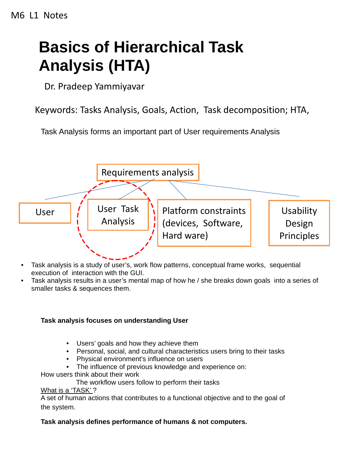# **Basics of Hierarchical Task Analysis (HTA)**

Dr. Pradeep Yammiyavar

Keywords: Tasks Analysis, Goals, Action, Task decomposition; HTA,

Task Analysis forms an important part of User requirements Analysis



- Task analysis is a study of user's, work flow patterns, conceptual frame works, sequential execution of interaction with the GUI.
- Task analysis results in a user's mental map of how he / she breaks down goals into a series of smaller tasks & sequences them.

## **Task analysis focuses on understanding User**

- Users' goals and how they achieve them
- Personal, social, and cultural characteristics users bring to their tasks
- Physical environment's influence on users
- The influence of previous knowledge and experience on:

How users think about their work

The workflow users follow to perform their tasks

#### What is a 'TASK' ?

A set of human actions that contributes to a functional objective and to the goal of the system.

# **Task analysis defines performance of humans & not computers.**